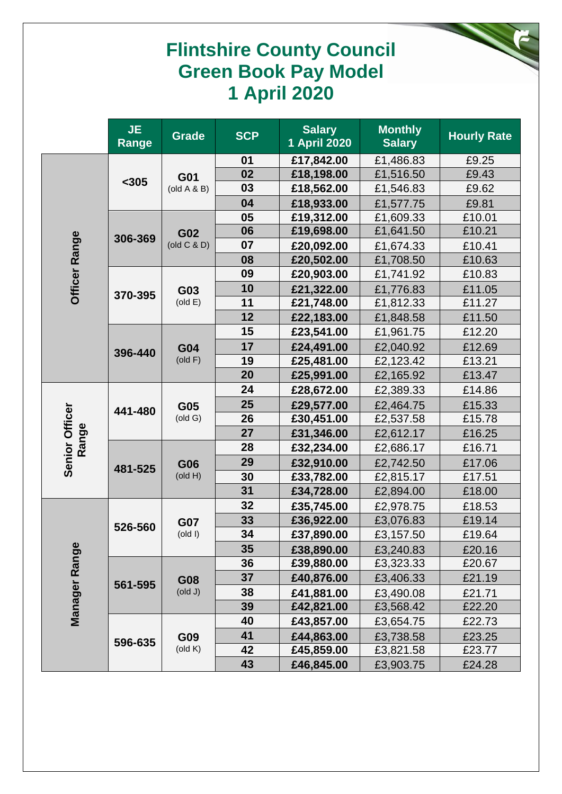## **Flintshire County Council Green Book Pay Model 1 April 2020**

|                         | <b>JE</b><br>Range | <b>Grade</b>                              | <b>SCP</b>                                                                                                                                                                                         | <b>Salary</b><br>1 April 2020                                                                                                                                                                                                                                                                                                                                                                                                                                                                                                                                                                                                                                                                                                                                                                                                                                                                                                                      | <b>Monthly</b><br><b>Salary</b> | <b>Hourly Rate</b> |
|-------------------------|--------------------|-------------------------------------------|----------------------------------------------------------------------------------------------------------------------------------------------------------------------------------------------------|----------------------------------------------------------------------------------------------------------------------------------------------------------------------------------------------------------------------------------------------------------------------------------------------------------------------------------------------------------------------------------------------------------------------------------------------------------------------------------------------------------------------------------------------------------------------------------------------------------------------------------------------------------------------------------------------------------------------------------------------------------------------------------------------------------------------------------------------------------------------------------------------------------------------------------------------------|---------------------------------|--------------------|
|                         |                    |                                           | 01                                                                                                                                                                                                 | £17,842.00                                                                                                                                                                                                                                                                                                                                                                                                                                                                                                                                                                                                                                                                                                                                                                                                                                                                                                                                         | £1,486.83                       | £9.25              |
|                         | $305$              | G01                                       | 02                                                                                                                                                                                                 | £18,198.00                                                                                                                                                                                                                                                                                                                                                                                                                                                                                                                                                                                                                                                                                                                                                                                                                                                                                                                                         | £1,516.50                       | £9.43              |
|                         |                    | $\left(\text{old A } \& \text{ B}\right)$ |                                                                                                                                                                                                    | £18,562.00<br>£1,546.83<br>£18,933.00<br>£1,577.75<br>£19,312.00<br>£1,609.33<br>£19,698.00<br>£1,641.50<br>£20,092.00<br>£1,674.33<br>£20,502.00<br>£1,708.50<br>£20,903.00<br>£1,741.92<br>£21,322.00<br>£1,776.83<br>£21,748.00<br>£1,812.33<br>£22,183.00<br>£1,848.58<br>£23,541.00<br>£1,961.75<br>£24,491.00<br>£2,040.92<br>£25,481.00<br>£2,123.42<br>£25,991.00<br>£2,165.92<br>£28,672.00<br>£2,389.33<br>£29,577.00<br>£2,464.75<br>£30,451.00<br>£2,537.58<br>£31,346.00<br>£2,612.17<br>£32,234.00<br>£2,686.17<br>£32,910.00<br>£2,742.50<br>£33,782.00<br>£2,815.17<br>£34,728.00<br>£2,894.00<br>£35,745.00<br>£2,978.75<br>£36,922.00<br>£3,076.83<br>£37,890.00<br>£3,157.50<br>£38,890.00<br>£3,240.83<br>£39,880.00<br>£3,323.33<br>£40,876.00<br>£3,406.33<br>£41,881.00<br>£3,490.08<br>£42,821.00<br>£3,568.42<br>£43,857.00<br>£3,654.75<br>£44,863.00<br>£3,738.58<br>£45,859.00<br>£3,821.58<br>£46,845.00<br>£3,903.75 |                                 | £9.62              |
|                         |                    |                                           | 04                                                                                                                                                                                                 |                                                                                                                                                                                                                                                                                                                                                                                                                                                                                                                                                                                                                                                                                                                                                                                                                                                                                                                                                    |                                 | £9.81              |
|                         |                    |                                           |                                                                                                                                                                                                    |                                                                                                                                                                                                                                                                                                                                                                                                                                                                                                                                                                                                                                                                                                                                                                                                                                                                                                                                                    |                                 | £10.01             |
|                         | 306-369            | G02                                       |                                                                                                                                                                                                    |                                                                                                                                                                                                                                                                                                                                                                                                                                                                                                                                                                                                                                                                                                                                                                                                                                                                                                                                                    |                                 | £10.21             |
|                         |                    | (old C & D)                               |                                                                                                                                                                                                    |                                                                                                                                                                                                                                                                                                                                                                                                                                                                                                                                                                                                                                                                                                                                                                                                                                                                                                                                                    |                                 | £10.41             |
| Officer Range           |                    |                                           |                                                                                                                                                                                                    |                                                                                                                                                                                                                                                                                                                                                                                                                                                                                                                                                                                                                                                                                                                                                                                                                                                                                                                                                    |                                 | £10.63             |
|                         |                    |                                           |                                                                                                                                                                                                    |                                                                                                                                                                                                                                                                                                                                                                                                                                                                                                                                                                                                                                                                                                                                                                                                                                                                                                                                                    |                                 | £10.83             |
|                         | 370-395            | G03                                       |                                                                                                                                                                                                    |                                                                                                                                                                                                                                                                                                                                                                                                                                                                                                                                                                                                                                                                                                                                                                                                                                                                                                                                                    |                                 | £11.05             |
|                         |                    | (old E)                                   |                                                                                                                                                                                                    |                                                                                                                                                                                                                                                                                                                                                                                                                                                                                                                                                                                                                                                                                                                                                                                                                                                                                                                                                    |                                 | £11.27             |
|                         |                    |                                           |                                                                                                                                                                                                    |                                                                                                                                                                                                                                                                                                                                                                                                                                                                                                                                                                                                                                                                                                                                                                                                                                                                                                                                                    |                                 | £11.50             |
|                         |                    |                                           |                                                                                                                                                                                                    |                                                                                                                                                                                                                                                                                                                                                                                                                                                                                                                                                                                                                                                                                                                                                                                                                                                                                                                                                    |                                 | £12.20             |
|                         | 396-440            | G04<br>(old F)                            |                                                                                                                                                                                                    |                                                                                                                                                                                                                                                                                                                                                                                                                                                                                                                                                                                                                                                                                                                                                                                                                                                                                                                                                    |                                 | £12.69             |
|                         |                    |                                           |                                                                                                                                                                                                    |                                                                                                                                                                                                                                                                                                                                                                                                                                                                                                                                                                                                                                                                                                                                                                                                                                                                                                                                                    |                                 | £13.21             |
|                         |                    |                                           |                                                                                                                                                                                                    |                                                                                                                                                                                                                                                                                                                                                                                                                                                                                                                                                                                                                                                                                                                                                                                                                                                                                                                                                    |                                 | £13.47             |
|                         |                    |                                           |                                                                                                                                                                                                    |                                                                                                                                                                                                                                                                                                                                                                                                                                                                                                                                                                                                                                                                                                                                                                                                                                                                                                                                                    |                                 | £14.86             |
|                         | 441-480            | G05                                       |                                                                                                                                                                                                    |                                                                                                                                                                                                                                                                                                                                                                                                                                                                                                                                                                                                                                                                                                                                                                                                                                                                                                                                                    |                                 | £15.33             |
|                         |                    | (old G)                                   |                                                                                                                                                                                                    |                                                                                                                                                                                                                                                                                                                                                                                                                                                                                                                                                                                                                                                                                                                                                                                                                                                                                                                                                    |                                 | £15.78             |
| Senior Officer<br>Range |                    |                                           |                                                                                                                                                                                                    |                                                                                                                                                                                                                                                                                                                                                                                                                                                                                                                                                                                                                                                                                                                                                                                                                                                                                                                                                    |                                 | £16.25             |
|                         |                    |                                           |                                                                                                                                                                                                    |                                                                                                                                                                                                                                                                                                                                                                                                                                                                                                                                                                                                                                                                                                                                                                                                                                                                                                                                                    |                                 | £16.71             |
|                         | 481-525            | G06                                       |                                                                                                                                                                                                    |                                                                                                                                                                                                                                                                                                                                                                                                                                                                                                                                                                                                                                                                                                                                                                                                                                                                                                                                                    |                                 | £17.06             |
|                         |                    | $($ old H $)$                             |                                                                                                                                                                                                    |                                                                                                                                                                                                                                                                                                                                                                                                                                                                                                                                                                                                                                                                                                                                                                                                                                                                                                                                                    |                                 | £17.51             |
|                         |                    |                                           |                                                                                                                                                                                                    |                                                                                                                                                                                                                                                                                                                                                                                                                                                                                                                                                                                                                                                                                                                                                                                                                                                                                                                                                    |                                 | £18.00             |
|                         |                    |                                           |                                                                                                                                                                                                    |                                                                                                                                                                                                                                                                                                                                                                                                                                                                                                                                                                                                                                                                                                                                                                                                                                                                                                                                                    |                                 | £18.53             |
|                         | 526-560            | <b>G07</b>                                | 03<br>05<br>06<br>07<br>08<br>09<br>10<br>11<br>12<br>15<br>17<br>19<br>20<br>24<br>25<br>26<br>27<br>28<br>29<br>30<br>31<br>32<br>33<br>34<br>35<br>36<br>37<br>38<br>39<br>40<br>41<br>42<br>43 |                                                                                                                                                                                                                                                                                                                                                                                                                                                                                                                                                                                                                                                                                                                                                                                                                                                                                                                                                    | £19.14                          |                    |
|                         |                    | (old I)                                   |                                                                                                                                                                                                    |                                                                                                                                                                                                                                                                                                                                                                                                                                                                                                                                                                                                                                                                                                                                                                                                                                                                                                                                                    |                                 | £19.64             |
|                         |                    |                                           |                                                                                                                                                                                                    |                                                                                                                                                                                                                                                                                                                                                                                                                                                                                                                                                                                                                                                                                                                                                                                                                                                                                                                                                    |                                 | £20.16             |
|                         |                    |                                           |                                                                                                                                                                                                    |                                                                                                                                                                                                                                                                                                                                                                                                                                                                                                                                                                                                                                                                                                                                                                                                                                                                                                                                                    |                                 | £20.67             |
|                         | 561-595            | <b>G08</b>                                |                                                                                                                                                                                                    |                                                                                                                                                                                                                                                                                                                                                                                                                                                                                                                                                                                                                                                                                                                                                                                                                                                                                                                                                    |                                 | £21.19             |
|                         |                    | (old J)                                   |                                                                                                                                                                                                    |                                                                                                                                                                                                                                                                                                                                                                                                                                                                                                                                                                                                                                                                                                                                                                                                                                                                                                                                                    |                                 | £21.71             |
| Manager Range           |                    |                                           |                                                                                                                                                                                                    |                                                                                                                                                                                                                                                                                                                                                                                                                                                                                                                                                                                                                                                                                                                                                                                                                                                                                                                                                    |                                 | £22.20             |
|                         |                    |                                           |                                                                                                                                                                                                    |                                                                                                                                                                                                                                                                                                                                                                                                                                                                                                                                                                                                                                                                                                                                                                                                                                                                                                                                                    |                                 | £22.73             |
|                         | 596-635            | G09                                       |                                                                                                                                                                                                    |                                                                                                                                                                                                                                                                                                                                                                                                                                                                                                                                                                                                                                                                                                                                                                                                                                                                                                                                                    |                                 | £23.25             |
|                         |                    | $\left(\text{old K}\right)$               |                                                                                                                                                                                                    |                                                                                                                                                                                                                                                                                                                                                                                                                                                                                                                                                                                                                                                                                                                                                                                                                                                                                                                                                    |                                 | £23.77             |
|                         |                    |                                           |                                                                                                                                                                                                    |                                                                                                                                                                                                                                                                                                                                                                                                                                                                                                                                                                                                                                                                                                                                                                                                                                                                                                                                                    |                                 | £24.28             |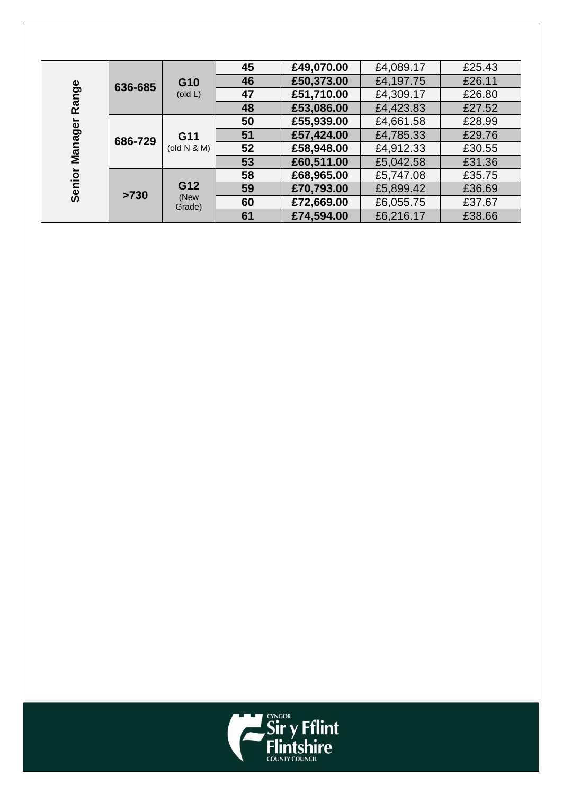|                   | 636-685 |                          | £49,070.00<br>45<br>£4,089.17 |            | £25.43    |        |
|-------------------|---------|--------------------------|-------------------------------|------------|-----------|--------|
|                   |         | G10                      | 46                            | £50,373.00 | £4,197.75 | £26.11 |
| Range             |         | $\left($ old L $\right)$ | 47                            | £51,710.00 | £4,309.17 | £26.80 |
|                   |         |                          | 48                            | £53,086.00 | £4,423.83 | £27.52 |
|                   | 686-729 |                          | 50                            | £55,939.00 | £4,661.58 | £28.99 |
| Manager<br>Senior |         | G11                      | 51                            | £57,424.00 | £4,785.33 | £29.76 |
|                   |         | (old N & M)              | 52                            | £58,948.00 | £4,912.33 | £30.55 |
|                   |         |                          | 53                            | £60,511.00 | £5,042.58 | £31.36 |
|                   | >730    |                          | 58                            | £68,965.00 | £5,747.08 | £35.75 |
|                   |         | G12                      | 59                            | £70,793.00 | £5,899.42 | £36.69 |
|                   |         | (New<br>Grade)           | 60                            | £72,669.00 | £6,055.75 | £37.67 |
|                   |         |                          | 61                            | £74,594.00 | £6,216.17 | £38.66 |

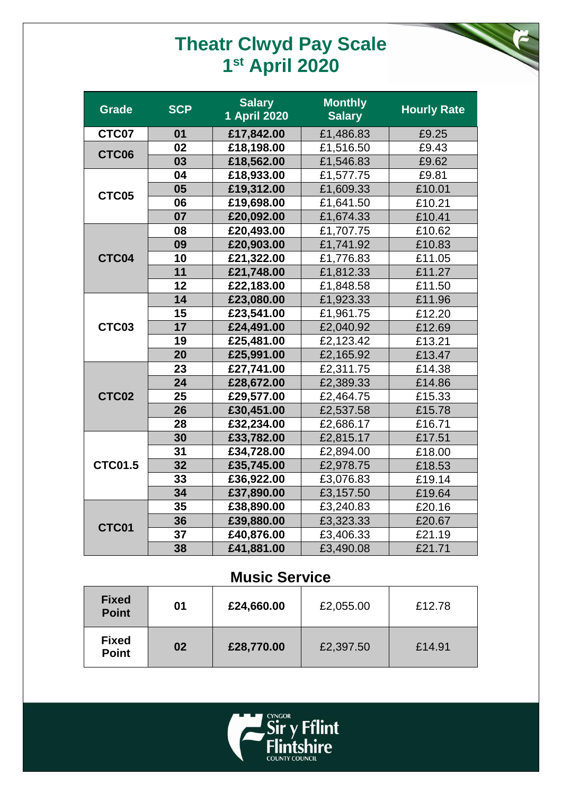## **Theatr Clwyd Pay Scale st April 2020**

| <b>Grade</b>   | <b>SCP</b> | <b>Salary</b><br>1 April 2020 | <b>Monthly</b><br><b>Salary</b> | <b>Hourly Rate</b> |
|----------------|------------|-------------------------------|---------------------------------|--------------------|
| CTC07          | 01         | £17,842.00                    | £1,486.83                       | £9.25              |
| CTC06          | 02         | £18,198.00                    | £1,516.50                       | £9.43              |
|                | 03         | £18,562.00                    | £1,546.83                       | £9.62              |
|                | 04         | £18,933.00                    | £1,577.75                       | £9.81              |
| CTC05          | 05         | £19,312.00                    | £1,609.33                       | £10.01             |
|                | 06         | £19,698.00                    | £1,641.50                       | £10.21             |
|                | 07         | £20,092.00                    | £1,674.33                       | £10.41             |
|                | 08         | £20,493.00                    | £1,707.75                       | £10.62             |
|                | 09         | £20,903.00                    | £1,741.92                       | £10.83             |
| CTC04          | 10         | £21,322.00                    | £1,776.83                       | £11.05             |
|                | 11         | £21,748.00                    | £1,812.33                       | £11.27             |
|                | 12         | £22,183.00                    | £1,848.58                       | £11.50             |
|                | 14         | £23,080.00                    | £1,923.33                       | £11.96             |
|                | 15         | £23,541.00                    | £1,961.75                       | £12.20             |
| CTC03          | 17         | £24,491.00                    | £2,040.92                       | £12.69             |
|                | 19         | £25,481.00                    | £2,123.42                       | £13.21             |
|                | 20         | £25,991.00                    | £2,165.92                       | £13.47             |
|                | 23         | £27,741.00                    | £2,311.75                       | £14.38             |
|                | 24         | £28,672.00                    | £2,389.33                       | £14.86             |
| CTC02          | 25         | £29,577.00                    | £2,464.75                       | £15.33             |
|                | 26         | £30,451.00                    | £2,537.58                       | £15.78             |
|                | 28         | £32,234.00                    | £2,686.17                       | £16.71             |
|                | 30         | £33,782.00                    | £2,815.17                       | £17.51             |
|                | 31         | £34,728.00                    | £2,894.00                       | £18.00             |
| <b>CTC01.5</b> | 32         | £35,745.00                    | £2,978.75                       | £18.53             |
|                | 33         | £36,922.00                    | £3,076.83                       | £19.14             |
|                | 34         | £37,890.00                    | £3,157.50                       | £19.64             |
|                | 35         | £38,890.00                    | £3,240.83                       | £20.16             |
| CTC01          | 36         | £39,880.00                    | £3,323.33                       | £20.67             |
|                | 37         | £40,876.00                    | £3,406.33                       | £21.19             |
|                | 38         | £41,881.00                    | £3,490.08                       | £21.71             |

### **Music Service**

| <b>Fixed</b><br><b>Point</b> | 01 | £24,660.00 | £2,055.00 | £12.78 |
|------------------------------|----|------------|-----------|--------|
| <b>Fixed</b><br><b>Point</b> | 02 | £28,770.00 | £2,397.50 | £14.91 |

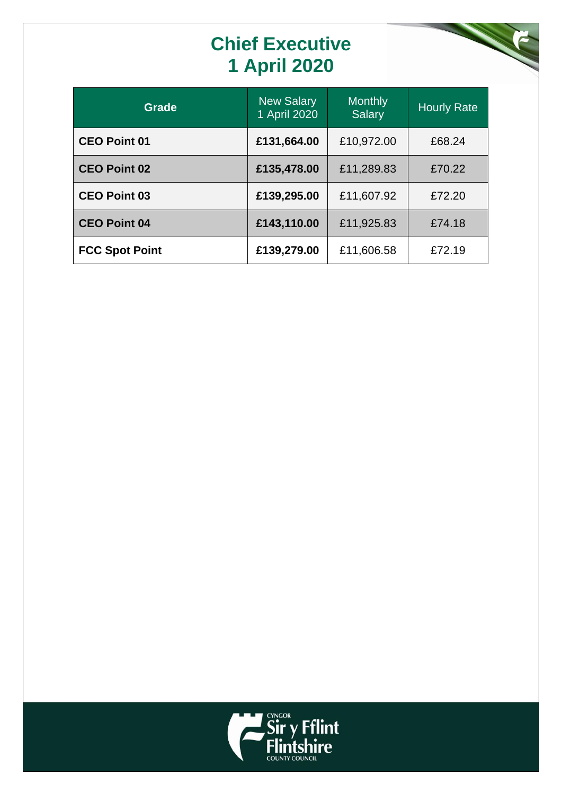# **Chief Executive 1 April 2020**

| <b>Grade</b>          | <b>New Salary</b><br>1 April 2020 | <b>Monthly</b><br><b>Salary</b> | <b>Hourly Rate</b> |
|-----------------------|-----------------------------------|---------------------------------|--------------------|
| <b>CEO Point 01</b>   | £131,664.00                       | £10,972.00                      | £68.24             |
| <b>CEO Point 02</b>   | £135,478.00                       | £11,289.83                      | £70.22             |
| <b>CEO Point 03</b>   | £139,295.00                       | £11,607.92                      | £72.20             |
| <b>CEO Point 04</b>   | £143,110.00                       | £11,925.83                      | £74.18             |
| <b>FCC Spot Point</b> | £139,279.00                       | £11,606.58                      | £72.19             |

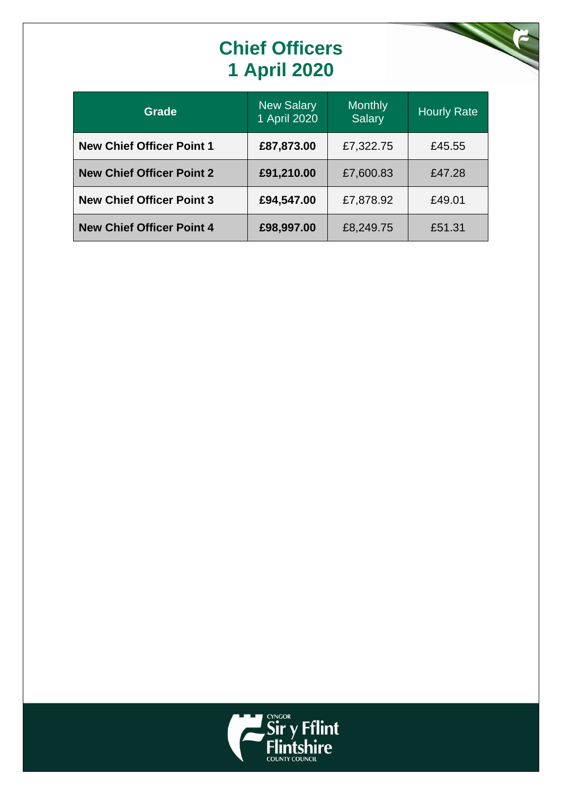# **Chief Officers 1 April 2020**



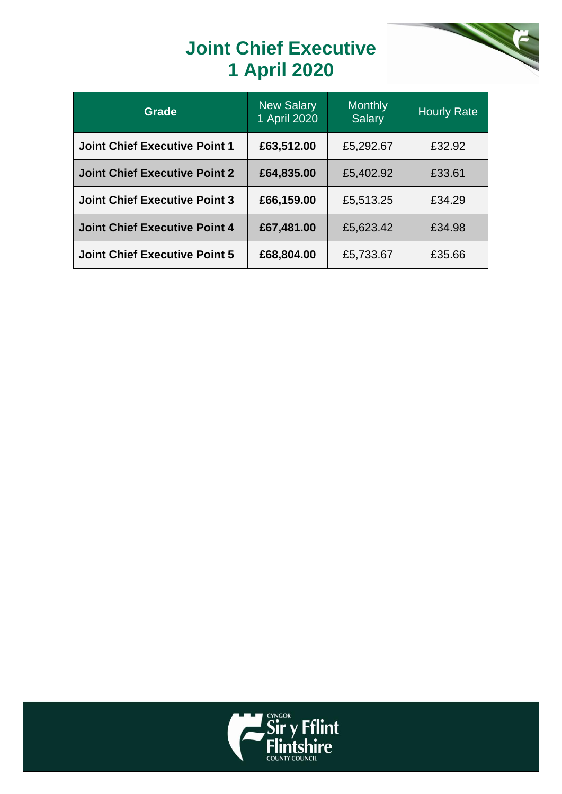## **Joint Chief Executive 1 April 2020**



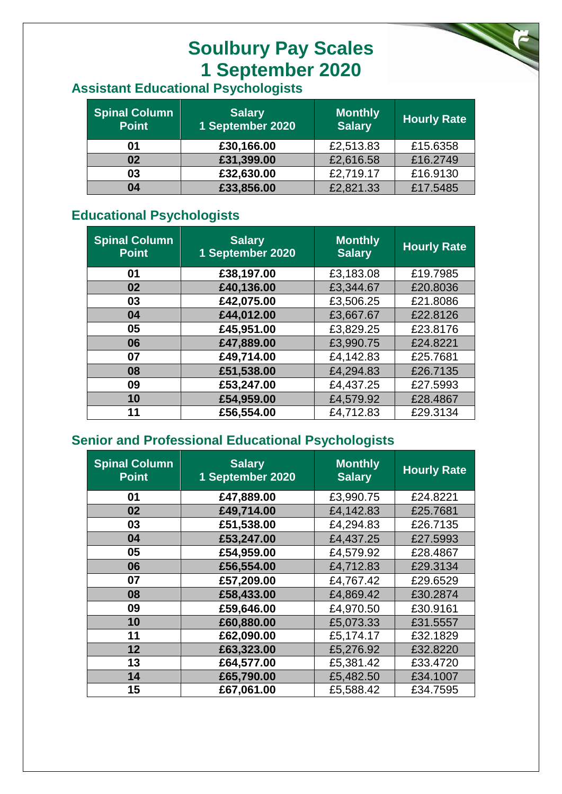## **Soulbury Pay Scales 1 September 2020**

### **Assistant Educational Psychologists**

| <b>Spinal Column</b><br><b>Point</b> | <b>Salary</b><br>1 September 2020 | <b>Monthly</b><br><b>Salary</b> | <b>Hourly Rate</b> |
|--------------------------------------|-----------------------------------|---------------------------------|--------------------|
| 01                                   | £30,166.00                        | £2,513.83                       | £15.6358           |
| 02                                   | £31,399.00                        | £2,616.58                       | £16.2749           |
| 03                                   | £32,630.00                        | £2,719.17                       | £16.9130           |
| 04                                   | £33,856.00                        | £2,821.33                       | £17.5485           |

#### **Educational Psychologists**

| <b>Spinal Column</b><br><b>Point</b> | <b>Salary</b><br>1 September 2020 | <b>Monthly</b><br><b>Salary</b> | <b>Hourly Rate</b> |
|--------------------------------------|-----------------------------------|---------------------------------|--------------------|
| 01                                   | £38,197.00                        | £3,183.08                       | £19.7985           |
| 02                                   | £40,136.00                        | £3,344.67                       | £20,8036           |
| 03                                   | £42,075.00                        | £3,506.25                       | £21.8086           |
| 04                                   | £44,012.00                        | £3,667.67                       | £22.8126           |
| 05                                   | £45,951.00                        | £3,829.25                       | £23.8176           |
| 06                                   | £47,889.00                        | £3,990.75                       | £24.8221           |
| 07                                   | £49,714.00                        | £4,142.83                       | £25.7681           |
| 08                                   | £51,538.00                        | £4,294.83                       | £26,7135           |
| 09                                   | £53,247.00                        | £4,437.25                       | £27.5993           |
| 10                                   | £54,959.00                        | £4,579.92                       | £28.4867           |
| 11                                   | £56,554.00                        | £4,712.83                       | £29.3134           |

#### **Senior and Professional Educational Psychologists**

| <b>Spinal Column</b><br><b>Point</b> | <b>Salary</b><br>1 September 2020 | <b>Monthly</b><br><b>Salary</b> | <b>Hourly Rate</b> |
|--------------------------------------|-----------------------------------|---------------------------------|--------------------|
| 01                                   | £47,889.00                        | £3,990.75                       | £24.8221           |
| 02                                   | £49,714.00                        | £4,142.83                       | £25.7681           |
| 03                                   | £51,538.00                        | £4,294.83                       | £26.7135           |
| 04                                   | £53,247.00                        | £4,437.25                       | £27.5993           |
| 05                                   | £54,959.00                        | £4,579.92                       | £28.4867           |
| 06                                   | £56,554.00                        | £4,712.83                       | £29.3134           |
| 07                                   | £57,209.00                        | £4,767.42                       | £29.6529           |
| 08                                   | £58,433.00                        | £4,869.42                       | £30.2874           |
| 09                                   | £59,646.00                        | £4,970.50                       | £30.9161           |
| 10                                   | £60,880.00                        | £5,073.33                       | £31.5557           |
| 11                                   | £62,090.00                        | £5,174.17                       | £32.1829           |
| 12                                   | £63,323.00                        | £5,276.92                       | £32.8220           |
| 13                                   | £64,577.00                        | £5,381.42                       | £33.4720           |
| 14                                   | £65,790.00                        | £5,482.50                       | £34.1007           |
| 15                                   | £67,061.00                        | £5,588.42                       | £34.7595           |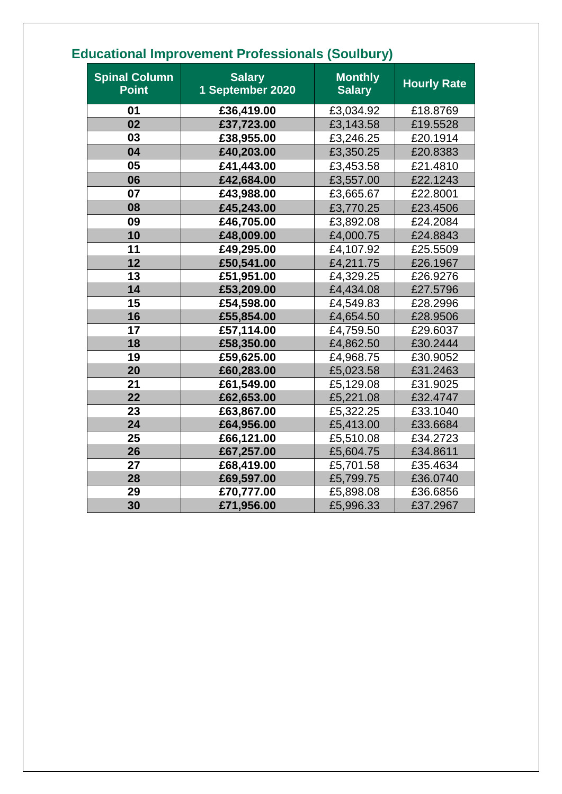|                                      |                                   | . .                             |                    |
|--------------------------------------|-----------------------------------|---------------------------------|--------------------|
| <b>Spinal Column</b><br><b>Point</b> | <b>Salary</b><br>1 September 2020 | <b>Monthly</b><br><b>Salary</b> | <b>Hourly Rate</b> |
| 01                                   | £36,419.00                        | £3,034.92                       | £18.8769           |
| 02                                   | £37,723.00                        | £3,143.58                       | £19.5528           |
| 03                                   | £38,955.00                        | £3,246.25                       | £20.1914           |
| 04                                   | £40,203.00                        | £3,350.25                       | £20.8383           |
| 05                                   | £41,443.00                        | £3,453.58                       | £21.4810           |
| 06                                   | £42,684.00                        | £3,557.00                       | £22.1243           |
| 07                                   | £43,988.00                        | £3,665.67                       | £22.8001           |
| 08                                   | £45,243.00                        | £3,770.25                       | £23.4506           |
| 09                                   | £46,705.00                        | £3,892.08                       | £24.2084           |
| 10                                   | £48,009.00                        | £4,000.75                       | £24.8843           |
| 11                                   | £49,295.00                        | £4,107.92                       | £25.5509           |
| 12                                   | £50,541.00                        | £4,211.75                       | £26.1967           |
| 13                                   | £51,951.00                        | £4,329.25                       | £26.9276           |
| 14                                   | £53,209.00                        | £4,434.08                       | £27.5796           |
| 15                                   | £54,598.00                        | £4,549.83                       | £28.2996           |
| 16                                   | £55,854.00                        | £4,654.50                       | £28.9506           |
| 17                                   | £57,114.00                        | £4,759.50                       | £29.6037           |
| 18                                   | £58,350.00                        | £4,862.50                       | £30.2444           |
| 19                                   | £59,625.00                        | £4,968.75                       | £30.9052           |
| 20                                   | £60,283.00                        | £5,023.58                       | £31.2463           |
| 21                                   | £61,549.00                        | £5,129.08                       | £31.9025           |
| 22                                   | £62,653.00                        | £5,221.08                       | £32.4747           |
| 23                                   | £63,867.00                        | £5,322.25                       | £33.1040           |
| 24                                   | £64,956.00                        | £5,413.00                       | £33.6684           |
| 25                                   | £66,121.00                        | £5,510.08                       | £34.2723           |
| 26                                   | £67,257.00                        | £5,604.75                       | £34.8611           |
| 27                                   | £68,419.00                        | £5,701.58                       | £35.4634           |
| 28                                   | £69,597.00                        | £5,799.75                       | £36.0740           |
| 29                                   | £70,777.00                        | £5,898.08                       | £36.6856           |
| 30                                   | £71,956.00                        | £5,996.33                       | £37.2967           |

### **Educational Improvement Professionals (Soulbury)**